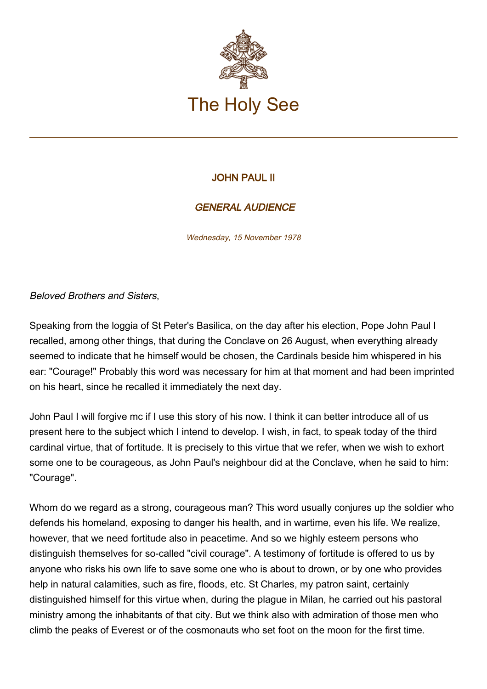

## JOHN PAUL II

## GENERAL AUDIENCE

Wednesday, 15 November 1978

Beloved Brothers and Sisters,

Speaking from the loggia of St Peter's Basilica, on the day after his election, Pope John Paul I recalled, among other things, that during the Conclave on 26 August, when everything already seemed to indicate that he himself would be chosen, the Cardinals beside him whispered in his ear: "Courage!" Probably this word was necessary for him at that moment and had been imprinted on his heart, since he recalled it immediately the next day.

John Paul I will forgive mc if I use this story of his now. I think it can better introduce all of us present here to the subject which I intend to develop. I wish, in fact, to speak today of the third cardinal virtue, that of fortitude. It is precisely to this virtue that we refer, when we wish to exhort some one to be courageous, as John Paul's neighbour did at the Conclave, when he said to him: "Courage".

Whom do we regard as a strong, courageous man? This word usually conjures up the soldier who defends his homeland, exposing to danger his health, and in wartime, even his life. We realize, however, that we need fortitude also in peacetime. And so we highly esteem persons who distinguish themselves for so-called "civil courage". A testimony of fortitude is offered to us by anyone who risks his own life to save some one who is about to drown, or by one who provides help in natural calamities, such as fire, floods, etc. St Charles, my patron saint, certainly distinguished himself for this virtue when, during the plague in Milan, he carried out his pastoral ministry among the inhabitants of that city. But we think also with admiration of those men who climb the peaks of Everest or of the cosmonauts who set foot on the moon for the first time.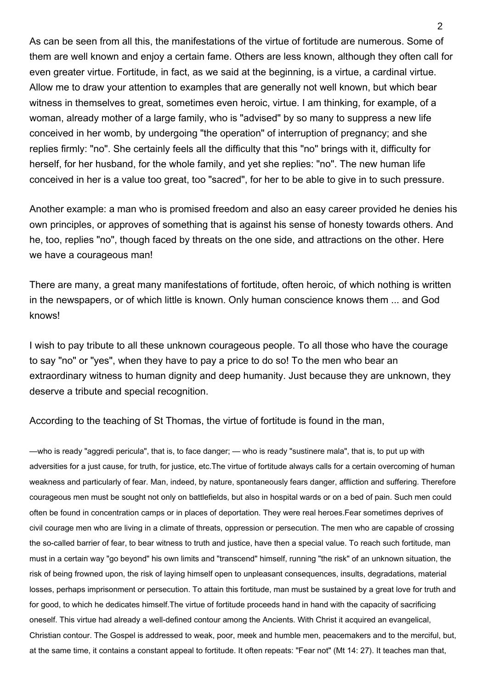As can be seen from all this, the manifestations of the virtue of fortitude are numerous. Some of them are well known and enjoy a certain fame. Others are less known, although they often call for even greater virtue. Fortitude, in fact, as we said at the beginning, is a virtue, a cardinal virtue. Allow me to draw your attention to examples that are generally not well known, but which bear witness in themselves to great, sometimes even heroic, virtue. I am thinking, for example, of a woman, already mother of a large family, who is "advised" by so many to suppress a new life conceived in her womb, by undergoing "the operation" of interruption of pregnancy; and she replies firmly: "no". She certainly feels all the difficulty that this "no" brings with it, difficulty for herself, for her husband, for the whole family, and yet she replies: "no". The new human life conceived in her is a value too great, too "sacred", for her to be able to give in to such pressure.

Another example: a man who is promised freedom and also an easy career provided he denies his own principles, or approves of something that is against his sense of honesty towards others. And he, too, replies "no", though faced by threats on the one side, and attractions on the other. Here we have a courageous man!

There are many, a great many manifestations of fortitude, often heroic, of which nothing is written in the newspapers, or of which little is known. Only human conscience knows them ... and God knows!

I wish to pay tribute to all these unknown courageous people. To all those who have the courage to say "no" or "yes", when they have to pay a price to do so! To the men who bear an extraordinary witness to human dignity and deep humanity. Just because they are unknown, they deserve a tribute and special recognition.

According to the teaching of St Thomas, the virtue of fortitude is found in the man,

—who is ready "aggredi pericula", that is, to face danger; — who is ready "sustinere mala", that is, to put up with adversities for a just cause, for truth, for justice, etc.The virtue of fortitude always calls for a certain overcoming of human weakness and particularly of fear. Man, indeed, by nature, spontaneously fears danger, affliction and suffering. Therefore courageous men must be sought not only on battlefields, but also in hospital wards or on a bed of pain. Such men could often be found in concentration camps or in places of deportation. They were real heroes.Fear sometimes deprives of civil courage men who are living in a climate of threats, oppression or persecution. The men who are capable of crossing the so-called barrier of fear, to bear witness to truth and justice, have then a special value. To reach such fortitude, man must in a certain way "go beyond" his own limits and "transcend" himself, running "the risk" of an unknown situation, the risk of being frowned upon, the risk of laying himself open to unpleasant consequences, insults, degradations, material losses, perhaps imprisonment or persecution. To attain this fortitude, man must be sustained by a great love for truth and for good, to which he dedicates himself.The virtue of fortitude proceeds hand in hand with the capacity of sacrificing oneself. This virtue had already a well-defined contour among the Ancients. With Christ it acquired an evangelical, Christian contour. The Gospel is addressed to weak, poor, meek and humble men, peacemakers and to the merciful, but, at the same time, it contains a constant appeal to fortitude. It often repeats: "Fear not" (Mt 14: 27). It teaches man that,